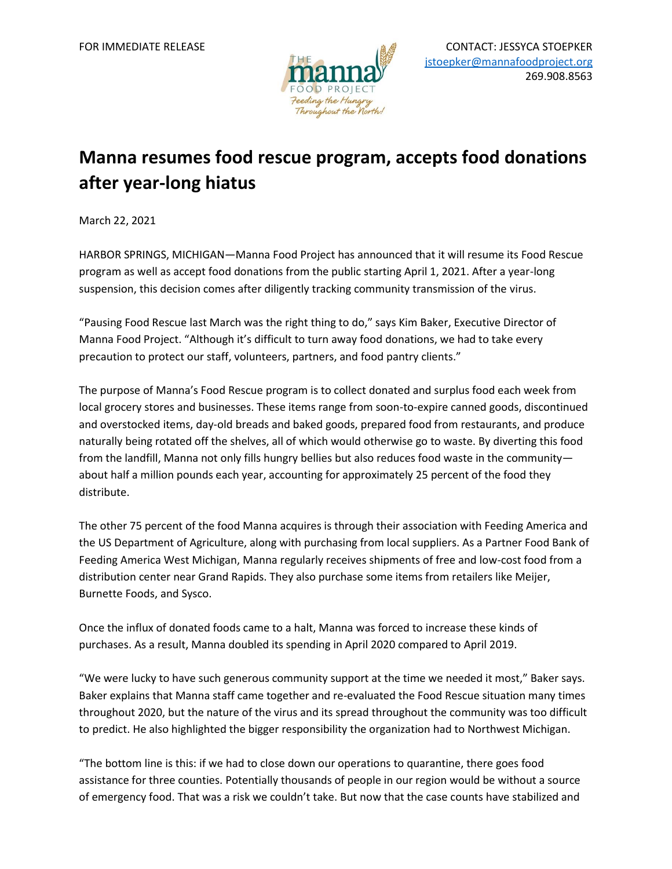

## **Manna resumes food rescue program, accepts food donations after year-long hiatus**

March 22, 2021

HARBOR SPRINGS, MICHIGAN—Manna Food Project has announced that it will resume its Food Rescue program as well as accept food donations from the public starting April 1, 2021. After a year-long suspension, this decision comes after diligently tracking community transmission of the virus.

"Pausing Food Rescue last March was the right thing to do," says Kim Baker, Executive Director of Manna Food Project. "Although it's difficult to turn away food donations, we had to take every precaution to protect our staff, volunteers, partners, and food pantry clients."

The purpose of Manna's Food Rescue program is to collect donated and surplus food each week from local grocery stores and businesses. These items range from soon-to-expire canned goods, discontinued and overstocked items, day-old breads and baked goods, prepared food from restaurants, and produce naturally being rotated off the shelves, all of which would otherwise go to waste. By diverting this food from the landfill, Manna not only fills hungry bellies but also reduces food waste in the community about half a million pounds each year, accounting for approximately 25 percent of the food they distribute.

The other 75 percent of the food Manna acquires is through their association with Feeding America and the US Department of Agriculture, along with purchasing from local suppliers. As a Partner Food Bank of Feeding America West Michigan, Manna regularly receives shipments of free and low-cost food from a distribution center near Grand Rapids. They also purchase some items from retailers like Meijer, Burnette Foods, and Sysco.

Once the influx of donated foods came to a halt, Manna was forced to increase these kinds of purchases. As a result, Manna doubled its spending in April 2020 compared to April 2019.

"We were lucky to have such generous community support at the time we needed it most," Baker says. Baker explains that Manna staff came together and re-evaluated the Food Rescue situation many times throughout 2020, but the nature of the virus and its spread throughout the community was too difficult to predict. He also highlighted the bigger responsibility the organization had to Northwest Michigan.

"The bottom line is this: if we had to close down our operations to quarantine, there goes food assistance for three counties. Potentially thousands of people in our region would be without a source of emergency food. That was a risk we couldn't take. But now that the case counts have stabilized and